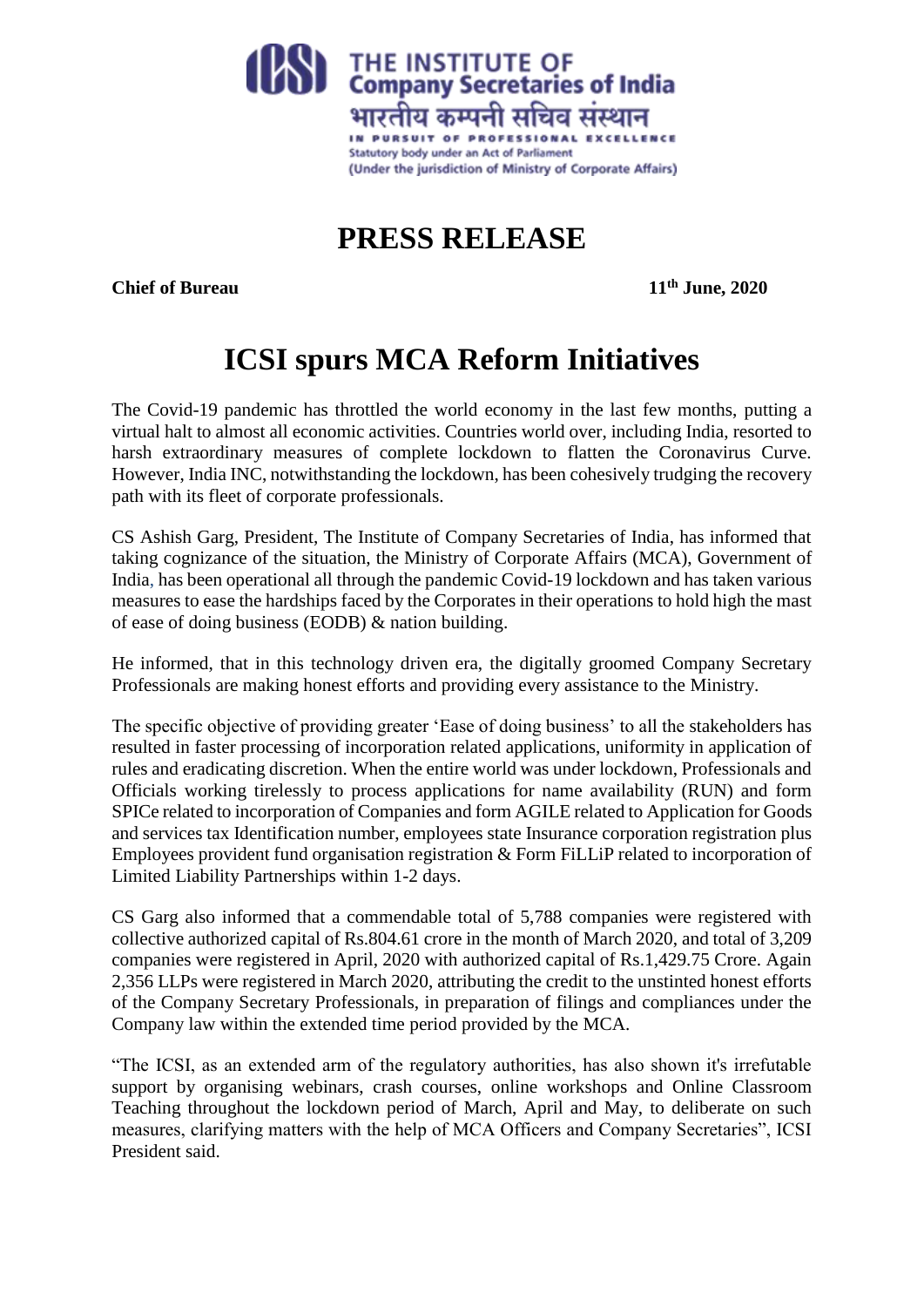

**PRESS RELEASE**

**Chief of Bureau 11th June, 2020**

## **ICSI spurs MCA Reform Initiatives**

The Covid-19 pandemic has throttled the world economy in the last few months, putting a virtual halt to almost all economic activities. Countries world over, including India, resorted to harsh extraordinary measures of complete lockdown to flatten the Coronavirus Curve. However, India INC, notwithstanding the lockdown, has been cohesively trudging the recovery path with its fleet of corporate professionals.

CS Ashish Garg, President, The Institute of Company Secretaries of India, has informed that taking cognizance of the situation, the Ministry of Corporate Affairs (MCA), Government of India, has been operational all through the pandemic Covid-19 lockdown and has taken various measures to ease the hardships faced by the Corporates in their operations to hold high the mast of ease of doing business (EODB) & nation building.

He informed, that in this technology driven era, the digitally groomed Company Secretary Professionals are making honest efforts and providing every assistance to the Ministry.

The specific objective of providing greater 'Ease of doing business' to all the stakeholders has resulted in faster processing of incorporation related applications, uniformity in application of rules and eradicating discretion. When the entire world was under lockdown, Professionals and Officials working tirelessly to process applications for name availability (RUN) and form SPICe related to incorporation of Companies and form AGILE related to Application for Goods and services tax Identification number, employees state Insurance corporation registration plus Employees provident fund organisation registration & Form FiLLiP related to incorporation of Limited Liability Partnerships within 1-2 days.

CS Garg also informed that a commendable total of 5,788 companies were registered with collective authorized capital of Rs.804.61 crore in the month of March 2020, and total of 3,209 companies were registered in April, 2020 with authorized capital of Rs.1,429.75 Crore. Again 2,356 LLPs were registered in March 2020, attributing the credit to the unstinted honest efforts of the Company Secretary Professionals, in preparation of filings and compliances under the Company law within the extended time period provided by the MCA.

"The ICSI, as an extended arm of the regulatory authorities, has also shown it's irrefutable support by organising webinars, crash courses, online workshops and Online Classroom Teaching throughout the lockdown period of March, April and May, to deliberate on such measures, clarifying matters with the help of MCA Officers and Company Secretaries", ICSI President said.